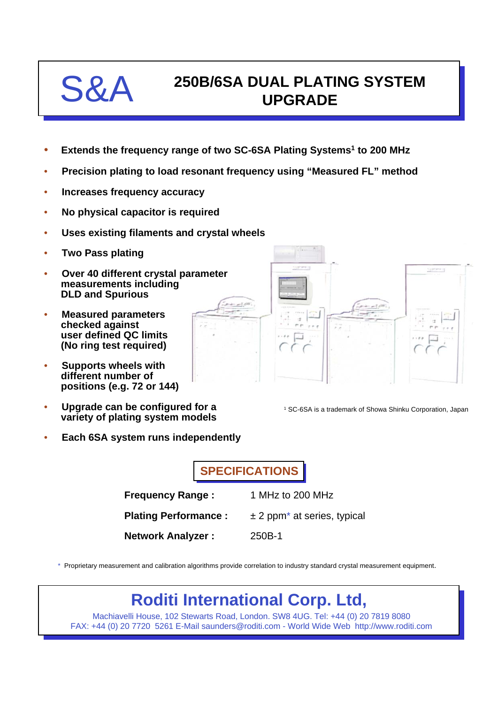

## **250B/6SA DUAL PLATING SYSTEM UPGRADE**

- **Extends the frequency range of two SC-6SA Plating Systems1 to 200 MHz**
- **Precision plating to load resonant frequency using "Measured FL" method**
- **Increases frequency accuracy**
- **No physical capacitor is required**
- **Uses existing filaments and crystal wheels**
- **Two Pass plating**
- **Over 40 different crystal parameter measurements including DLD and Spurious**
- **Measured parameters checked against user defined QC limits (No ring test required)**
- **Supports wheels with different number of positions (e.g. 72 or 144)**
- **Upgrade can be configured for a variety of plating system models**
- **Each 6SA system runs independently**

**SPECIFICATIONS**

| <b>Frequency Range:</b>     | 1 MHz to 200 MHz                            |
|-----------------------------|---------------------------------------------|
| <b>Plating Performance:</b> | $\pm$ 2 ppm <sup>*</sup> at series, typical |
| <b>Network Analyzer:</b>    | 250B-1                                      |

\* Proprietary measurement and calibration algorithms provide correlation to industry standard crystal measurement equipment.

## **Roditi International Corp. Ltd,**

Machiavelli House, 102 Stewarts Road, London. SW8 4UG. Tel: +44 (0) 20 7819 8080 FAX: +44 (0) 20 7720 5261 E-Mail saunders@roditi.com - World Wide Web http://www.roditi.com



<sup>1</sup> SC-6SA is a trademark of Showa Shinku Corporation, Japan